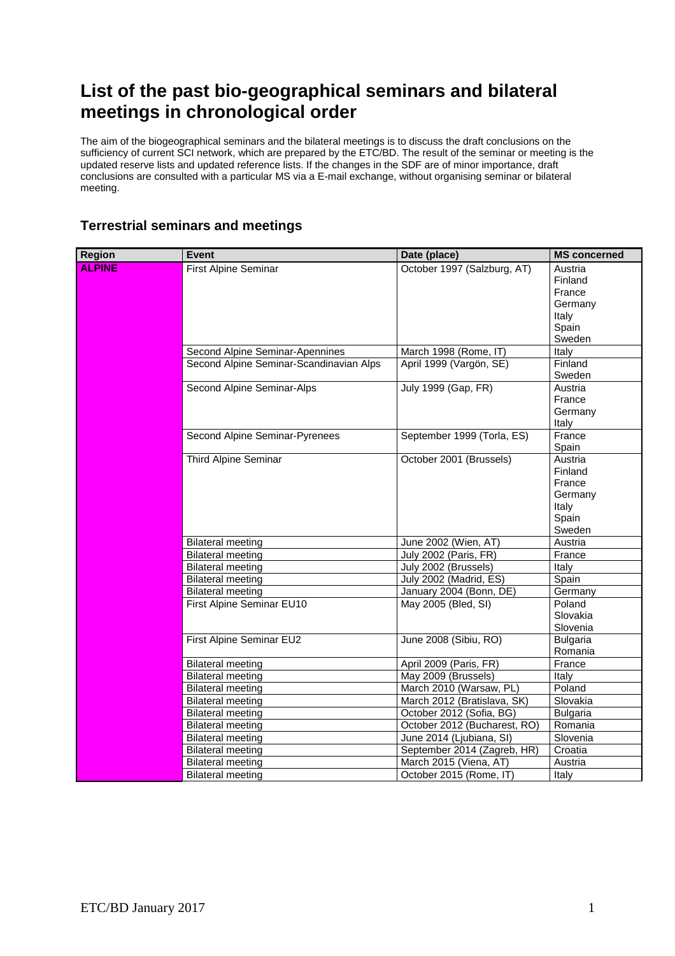## **List of the past bio-geographical seminars and bilateral meetings in chronological order**

The aim of the biogeographical seminars and the bilateral meetings is to discuss the draft conclusions on the sufficiency of current SCI network, which are prepared by the ETC/BD. The result of the seminar or meeting is the updated reserve lists and updated reference lists. If the changes in the SDF are of minor importance, draft conclusions are consulted with a particular MS via a E-mail exchange, without organising seminar or bilateral meeting.

## **Terrestrial seminars and meetings**

| <b>Region</b> | <b>Event</b>                                         | Date (place)                                   | <b>MS</b> concerned |
|---------------|------------------------------------------------------|------------------------------------------------|---------------------|
| <b>ALPINE</b> | First Alpine Seminar                                 | October 1997 (Salzburg, AT)                    | Austria             |
|               |                                                      |                                                | Finland             |
|               |                                                      |                                                | France              |
|               |                                                      |                                                | Germany             |
|               |                                                      |                                                | Italy               |
|               |                                                      |                                                | Spain               |
|               |                                                      |                                                | Sweden              |
|               | Second Alpine Seminar-Apennines                      | March 1998 (Rome, IT)                          | Italy               |
|               | Second Alpine Seminar-Scandinavian Alps              | April 1999 (Vargön, SE)                        | Finland             |
|               |                                                      |                                                | Sweden              |
|               | Second Alpine Seminar-Alps                           | July 1999 (Gap, FR)                            | Austria             |
|               |                                                      |                                                | France              |
|               |                                                      |                                                | Germany             |
|               |                                                      |                                                | Italy               |
|               | Second Alpine Seminar-Pyrenees                       | September 1999 (Torla, ES)                     | France              |
|               |                                                      |                                                | Spain               |
|               | Third Alpine Seminar                                 | October 2001 (Brussels)                        | Austria             |
|               |                                                      |                                                | Finland             |
|               |                                                      |                                                | France              |
|               |                                                      |                                                | Germany             |
|               |                                                      |                                                | Italy               |
|               |                                                      |                                                | Spain               |
|               |                                                      |                                                | Sweden<br>Austria   |
|               | <b>Bilateral meeting</b>                             | June 2002 (Wien, AT)                           |                     |
|               | <b>Bilateral meeting</b>                             | July 2002 (Paris, FR)<br>July 2002 (Brussels)  | France              |
|               | <b>Bilateral meeting</b><br><b>Bilateral meeting</b> | July 2002 (Madrid, ES)                         | Italy<br>Spain      |
|               | <b>Bilateral meeting</b>                             |                                                |                     |
|               | First Alpine Seminar EU10                            | January 2004 (Bonn, DE)<br>May 2005 (Bled, SI) | Germany<br>Poland   |
|               |                                                      |                                                | Slovakia            |
|               |                                                      |                                                | Slovenia            |
|               | First Alpine Seminar EU2                             | June 2008 (Sibiu, RO)                          | <b>Bulgaria</b>     |
|               |                                                      |                                                | Romania             |
|               | <b>Bilateral meeting</b>                             | April 2009 (Paris, FR)                         | France              |
|               | <b>Bilateral meeting</b>                             | May 2009 (Brussels)                            | Italy               |
|               | <b>Bilateral meeting</b>                             | March 2010 (Warsaw, PL)                        | Poland              |
|               | <b>Bilateral meeting</b>                             | March 2012 (Bratislava, SK)                    | Slovakia            |
|               | <b>Bilateral meeting</b>                             | October 2012 (Sofia, BG)                       | <b>Bulgaria</b>     |
|               | <b>Bilateral meeting</b>                             | October 2012 (Bucharest, RO)                   | Romania             |
|               | <b>Bilateral meeting</b>                             | June 2014 (Ljubiana, SI)                       | Slovenia            |
|               | <b>Bilateral meeting</b>                             | September 2014 (Zagreb, HR)                    | Croatia             |
|               | <b>Bilateral meeting</b>                             | March 2015 (Viena, AT)                         | Austria             |
|               | <b>Bilateral meeting</b>                             | October 2015 (Rome, IT)                        | Italy               |
|               |                                                      |                                                |                     |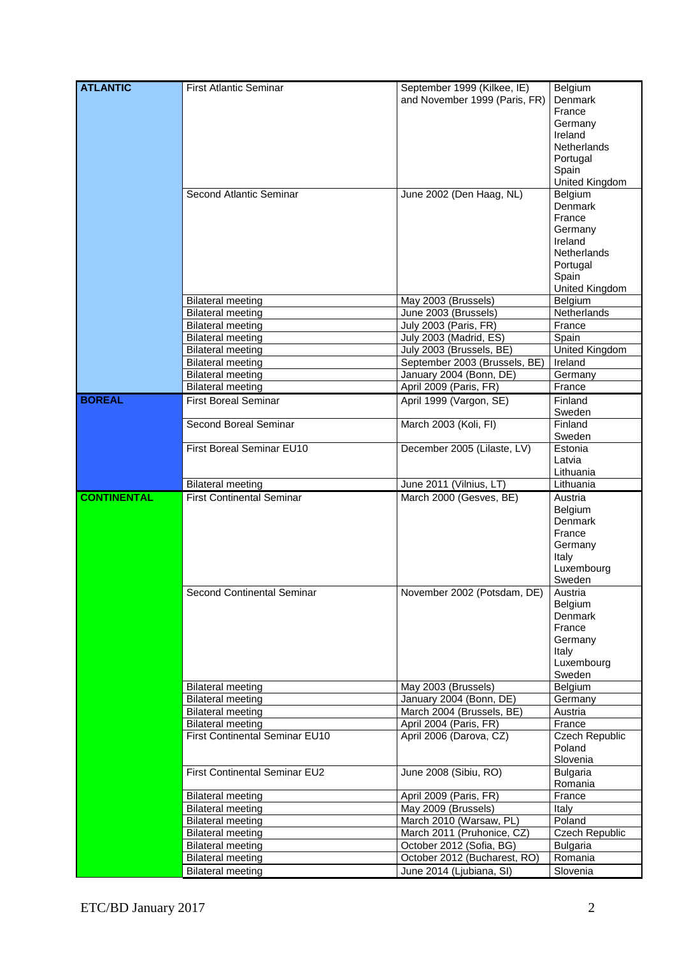| <b>ATLANTIC</b>    | <b>First Atlantic Seminar</b>                        | September 1999 (Kilkee, IE)                              | Belgium             |
|--------------------|------------------------------------------------------|----------------------------------------------------------|---------------------|
|                    |                                                      | and November 1999 (Paris, FR)                            | Denmark             |
|                    |                                                      |                                                          | France              |
|                    |                                                      |                                                          | Germany             |
|                    |                                                      |                                                          | Ireland             |
|                    |                                                      |                                                          | <b>Netherlands</b>  |
|                    |                                                      |                                                          | Portugal            |
|                    |                                                      |                                                          | Spain               |
|                    |                                                      |                                                          | United Kingdom      |
|                    | Second Atlantic Seminar                              | June 2002 (Den Haag, NL)                                 | Belgium             |
|                    |                                                      |                                                          | Denmark             |
|                    |                                                      |                                                          | France              |
|                    |                                                      |                                                          | Germany             |
|                    |                                                      |                                                          | Ireland             |
|                    |                                                      |                                                          | <b>Netherlands</b>  |
|                    |                                                      |                                                          | Portugal            |
|                    |                                                      |                                                          | Spain               |
|                    |                                                      |                                                          | United Kingdom      |
|                    | <b>Bilateral meeting</b>                             | May 2003 (Brussels)                                      | Belgium             |
|                    | <b>Bilateral meeting</b>                             | June 2003 (Brussels)                                     | Netherlands         |
|                    | <b>Bilateral meeting</b>                             | July 2003 (Paris, FR)                                    | France              |
|                    | <b>Bilateral meeting</b>                             | July 2003 (Madrid, ES)                                   | Spain               |
|                    | <b>Bilateral meeting</b>                             | July 2003 (Brussels, BE)                                 | United Kingdom      |
|                    | <b>Bilateral meeting</b>                             | September 2003 (Brussels, BE)                            | Ireland             |
|                    | <b>Bilateral meeting</b>                             | January 2004 (Bonn, DE)                                  | Germany             |
|                    | <b>Bilateral meeting</b>                             | April 2009 (Paris, FR)                                   | France              |
| <b>BOREAL</b>      | <b>First Boreal Seminar</b>                          |                                                          |                     |
|                    |                                                      | April 1999 (Vargon, SE)                                  | Finland             |
|                    | Second Boreal Seminar                                |                                                          | Sweden<br>Finland   |
|                    |                                                      | March 2003 (Koli, FI)                                    |                     |
|                    | First Boreal Seminar EU10                            | December 2005 (Lilaste, LV)                              | Sweden<br>Estonia   |
|                    |                                                      |                                                          | Latvia              |
|                    |                                                      |                                                          | Lithuania           |
|                    | <b>Bilateral meeting</b>                             | June 2011 (Vilnius, LT)                                  | Lithuania           |
|                    |                                                      |                                                          |                     |
|                    |                                                      |                                                          |                     |
| <b>CONTINENTAL</b> | <b>First Continental Seminar</b>                     | March 2000 (Gesves, BE)                                  | Austria             |
|                    |                                                      |                                                          | Belgium             |
|                    |                                                      |                                                          | Denmark             |
|                    |                                                      |                                                          | France              |
|                    |                                                      |                                                          | Germany             |
|                    |                                                      |                                                          | Italy               |
|                    |                                                      |                                                          | Luxembourg          |
|                    |                                                      |                                                          | Sweden              |
|                    | Second Continental Seminar                           | November 2002 (Potsdam, DE)                              | Austria             |
|                    |                                                      |                                                          | Belgium             |
|                    |                                                      |                                                          | Denmark             |
|                    |                                                      |                                                          | France              |
|                    |                                                      |                                                          | Germany             |
|                    |                                                      |                                                          | Italy               |
|                    |                                                      |                                                          | Luxembourg          |
|                    |                                                      |                                                          | Sweden              |
|                    | <b>Bilateral meeting</b>                             | May 2003 (Brussels)                                      | Belgium             |
|                    | <b>Bilateral meeting</b>                             | January 2004 (Bonn, DE)                                  | Germany             |
|                    | <b>Bilateral meeting</b>                             | March 2004 (Brussels, BE)                                | Austria             |
|                    | <b>Bilateral meeting</b>                             | April 2004 (Paris, FR)                                   | France              |
|                    | First Continental Seminar EU10                       | April 2006 (Darova, CZ)                                  | Czech Republic      |
|                    |                                                      |                                                          | Poland              |
|                    |                                                      |                                                          | Slovenia            |
|                    | First Continental Seminar EU2                        | June 2008 (Sibiu, RO)                                    | <b>Bulgaria</b>     |
|                    |                                                      |                                                          | Romania             |
|                    | Bilateral meeting                                    | April 2009 (Paris, FR)                                   | France              |
|                    | <b>Bilateral meeting</b>                             | May 2009 (Brussels)                                      | Italy               |
|                    | <b>Bilateral meeting</b>                             | March 2010 (Warsaw, PL)                                  | Poland              |
|                    | <b>Bilateral meeting</b>                             | March 2011 (Pruhonice, CZ)                               | Czech Republic      |
|                    | <b>Bilateral meeting</b>                             | October 2012 (Sofia, BG)                                 | <b>Bulgaria</b>     |
|                    | <b>Bilateral meeting</b><br><b>Bilateral meeting</b> | October 2012 (Bucharest, RO)<br>June 2014 (Ljubiana, SI) | Romania<br>Slovenia |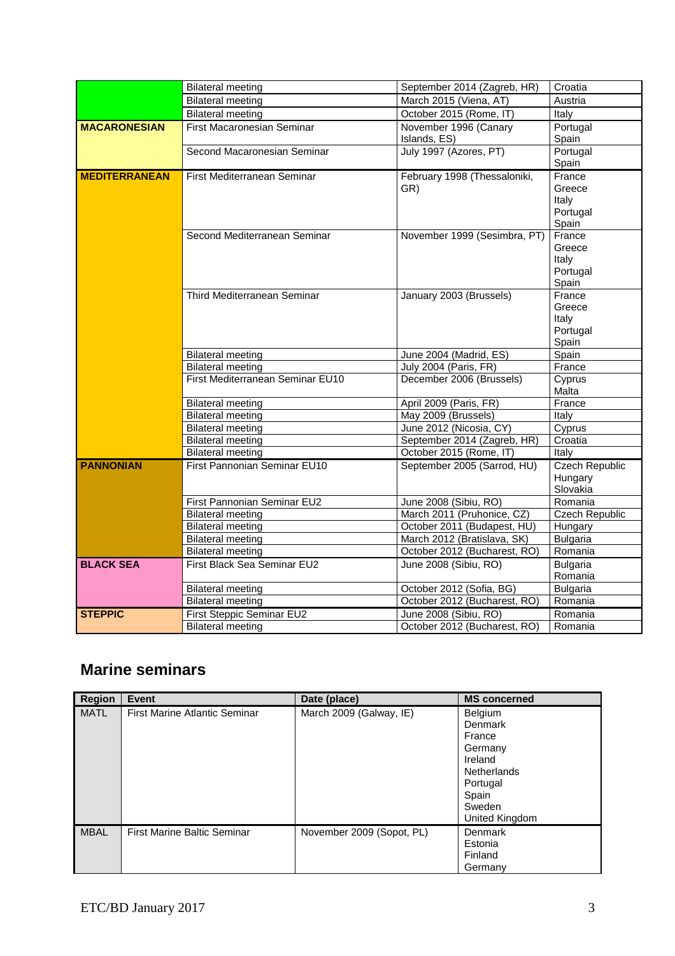|                      | <b>Bilateral meeting</b>          | September 2014 (Zagreb, HR)           | Croatia                                        |
|----------------------|-----------------------------------|---------------------------------------|------------------------------------------------|
|                      | <b>Bilateral meeting</b>          | March 2015 (Viena, AT)                | Austria                                        |
|                      | <b>Bilateral meeting</b>          | October 2015 (Rome, IT)               | Italy                                          |
| <b>MACARONESIAN</b>  | <b>First Macaronesian Seminar</b> | November 1996 (Canary<br>Islands, ES) | Portugal<br>Spain                              |
|                      | Second Macaronesian Seminar       | July 1997 (Azores, PT)                | Portugal<br>Spain                              |
| <b>MEDITERRANEAN</b> | First Mediterranean Seminar       | February 1998 (Thessaloniki,<br>GR)   | France<br>Greece<br>Italy<br>Portugal<br>Spain |
|                      | Second Mediterranean Seminar      | November 1999 (Sesimbra, PT)          | France<br>Greece<br>Italy<br>Portugal<br>Spain |
|                      | Third Mediterranean Seminar       | January 2003 (Brussels)               | France<br>Greece<br>Italy<br>Portugal<br>Spain |
|                      | <b>Bilateral meeting</b>          | June 2004 (Madrid, ES)                | Spain                                          |
|                      | <b>Bilateral meeting</b>          | July 2004 (Paris, FR)                 | France                                         |
|                      | First Mediterranean Seminar EU10  | December 2006 (Brussels)              | Cyprus<br>Malta                                |
|                      | <b>Bilateral meeting</b>          | April 2009 (Paris, FR)                | France                                         |
|                      | <b>Bilateral meeting</b>          | May 2009 (Brussels)                   | Italy                                          |
|                      | <b>Bilateral meeting</b>          | June 2012 (Nicosia, CY)               | Cyprus                                         |
|                      | <b>Bilateral meeting</b>          | September 2014 (Zagreb, HR)           | Croatia                                        |
|                      | <b>Bilateral meeting</b>          | October 2015 (Rome, IT)               | Italy                                          |
| <b>PANNONIAN</b>     | First Pannonian Seminar EU10      | September 2005 (Sarrod, HU)           | <b>Czech Republic</b><br>Hungary<br>Slovakia   |
|                      | First Pannonian Seminar EU2       | June 2008 (Sibiu, RO)                 | Romania                                        |
|                      | <b>Bilateral meeting</b>          | March 2011 (Pruhonice, CZ)            | <b>Czech Republic</b>                          |
|                      | <b>Bilateral meeting</b>          | October 2011 (Budapest, HU)           | Hungary                                        |
|                      | <b>Bilateral meeting</b>          | March 2012 (Bratislava, SK)           | <b>Bulgaria</b>                                |
|                      | <b>Bilateral meeting</b>          | October 2012 (Bucharest, RO)          | Romania                                        |
| <b>BLACK SEA</b>     | First Black Sea Seminar EU2       | June 2008 (Sibiu, RO)                 | <b>Bulgaria</b><br>Romania                     |
|                      | <b>Bilateral meeting</b>          | October 2012 (Sofia, BG)              | <b>Bulgaria</b>                                |
|                      | <b>Bilateral meeting</b>          | October 2012 (Bucharest, RO)          | Romania                                        |
| <b>STEPPIC</b>       | First Steppic Seminar EU2         | June 2008 (Sibiu, RO)                 | Romania                                        |
|                      | <b>Bilateral meeting</b>          | October 2012 (Bucharest, RO)          | Romania                                        |

## **Marine seminars**

| <b>Region</b> | Event                              | Date (place)              | <b>MS concerned</b>                                                                                                       |
|---------------|------------------------------------|---------------------------|---------------------------------------------------------------------------------------------------------------------------|
| <b>MATL</b>   | First Marine Atlantic Seminar      | March 2009 (Galway, IE)   | Belgium<br>Denmark<br>France<br>Germany<br>Ireland<br><b>Netherlands</b><br>Portugal<br>Spain<br>Sweden<br>United Kingdom |
| <b>MBAL</b>   | <b>First Marine Baltic Seminar</b> | November 2009 (Sopot, PL) | Denmark<br>Estonia<br>Finland<br>Germany                                                                                  |